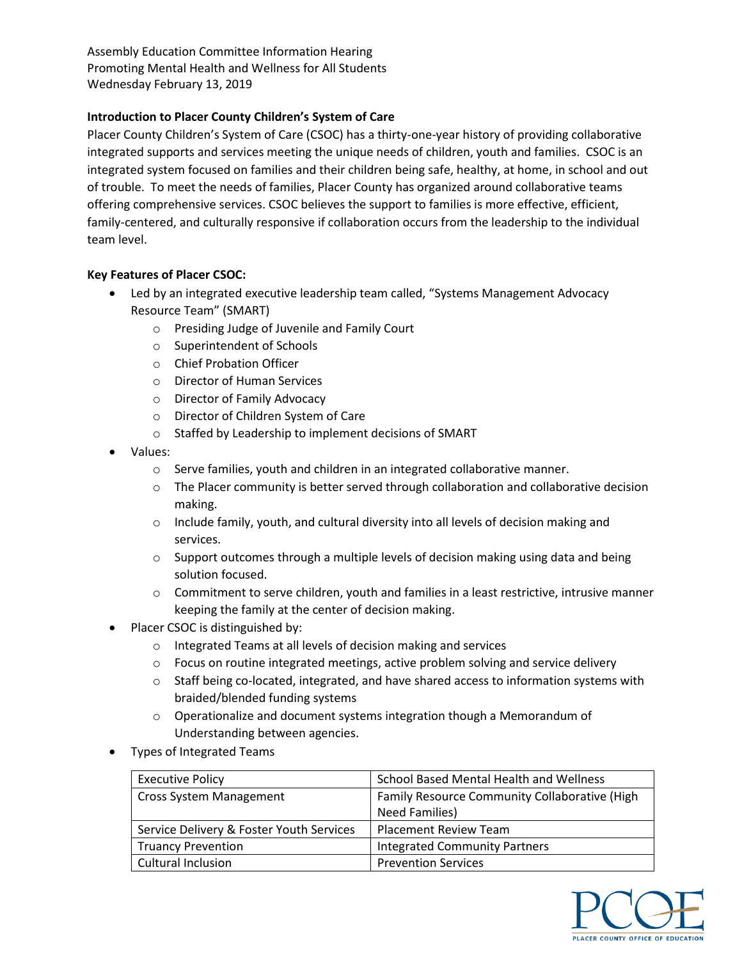Assembly Education Committee Information Hearing Promoting Mental Health and Wellness for All Students Wednesday February 13, 2019

# **Introduction to Placer County Children's System of Care**

Placer County Children's System of Care (CSOC) has a thirty-one-year history of providing collaborative integrated supports and services meeting the unique needs of children, youth and families. CSOC is an integrated system focused on families and their children being safe, healthy, at home, in school and out of trouble. To meet the needs of families, Placer County has organized around collaborative teams offering comprehensive services. CSOC believes the support to families is more effective, efficient, family-centered, and culturally responsive if collaboration occurs from the leadership to the individual team level.

### **Key Features of Placer CSOC:**

- Led by an integrated executive leadership team called, "Systems Management Advocacy Resource Team" (SMART)
	- o Presiding Judge of Juvenile and Family Court
	- o Superintendent of Schools
	- o Chief Probation Officer
	- o Director of Human Services
	- o Director of Family Advocacy
	- o Director of Children System of Care
	- o Staffed by Leadership to implement decisions of SMART
- Values:
	- o Serve families, youth and children in an integrated collaborative manner.
	- $\circ$  The Placer community is better served through collaboration and collaborative decision making.
	- $\circ$  Include family, youth, and cultural diversity into all levels of decision making and services.
	- $\circ$  Support outcomes through a multiple levels of decision making using data and being solution focused.
	- o Commitment to serve children, youth and families in a least restrictive, intrusive manner keeping the family at the center of decision making.
- Placer CSOC is distinguished by:
	- o Integrated Teams at all levels of decision making and services
	- $\circ$  Focus on routine integrated meetings, active problem solving and service delivery
	- $\circ$  Staff being co-located, integrated, and have shared access to information systems with braided/blended funding systems
	- o Operationalize and document systems integration though a Memorandum of Understanding between agencies.
- Types of Integrated Teams

| <b>Executive Policy</b>                  | <b>School Based Mental Health and Wellness</b> |
|------------------------------------------|------------------------------------------------|
| <b>Cross System Management</b>           | Family Resource Community Collaborative (High  |
|                                          | <b>Need Families)</b>                          |
| Service Delivery & Foster Youth Services | <b>Placement Review Team</b>                   |
| <b>Truancy Prevention</b>                | <b>Integrated Community Partners</b>           |
| Cultural Inclusion                       | <b>Prevention Services</b>                     |

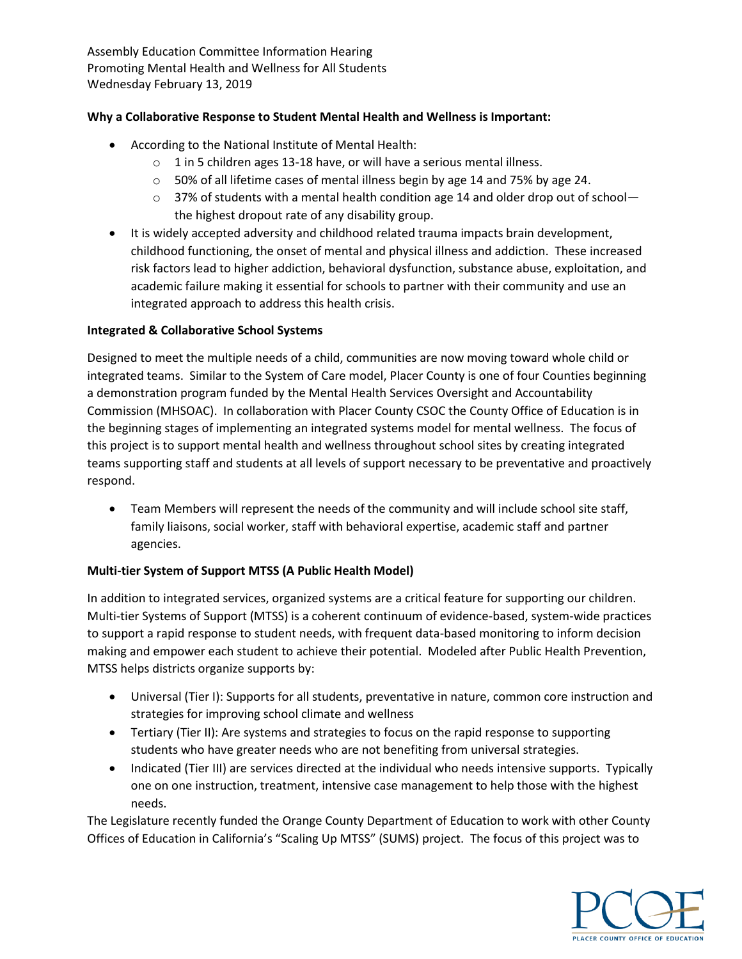Assembly Education Committee Information Hearing Promoting Mental Health and Wellness for All Students Wednesday February 13, 2019

## **Why a Collaborative Response to Student Mental Health and Wellness is Important:**

- According to the National Institute of Mental Health:
	- o 1 in 5 children ages 13-18 have, or will have a serious mental illness.
	- o 50% of all lifetime cases of mental illness begin by age 14 and 75% by age 24.
	- $\circ$  37% of students with a mental health condition age 14 and older drop out of school the highest dropout rate of any disability group.
- It is widely accepted adversity and childhood related trauma impacts brain development, childhood functioning, the onset of mental and physical illness and addiction. These increased risk factors lead to higher addiction, behavioral dysfunction, substance abuse, exploitation, and academic failure making it essential for schools to partner with their community and use an integrated approach to address this health crisis.

### **Integrated & Collaborative School Systems**

Designed to meet the multiple needs of a child, communities are now moving toward whole child or integrated teams. Similar to the System of Care model, Placer County is one of four Counties beginning a demonstration program funded by the Mental Health Services Oversight and Accountability Commission (MHSOAC). In collaboration with Placer County CSOC the County Office of Education is in the beginning stages of implementing an integrated systems model for mental wellness. The focus of this project is to support mental health and wellness throughout school sites by creating integrated teams supporting staff and students at all levels of support necessary to be preventative and proactively respond.

 Team Members will represent the needs of the community and will include school site staff, family liaisons, social worker, staff with behavioral expertise, academic staff and partner agencies.

#### **Multi-tier System of Support MTSS (A Public Health Model)**

In addition to integrated services, organized systems are a critical feature for supporting our children. Multi-tier Systems of Support (MTSS) is a coherent continuum of evidence-based, system-wide practices to support a rapid response to student needs, with frequent data-based monitoring to inform decision making and empower each student to achieve their potential. Modeled after Public Health Prevention, MTSS helps districts organize supports by:

- Universal (Tier I): Supports for all students, preventative in nature, common core instruction and strategies for improving school climate and wellness
- Tertiary (Tier II): Are systems and strategies to focus on the rapid response to supporting students who have greater needs who are not benefiting from universal strategies.
- Indicated (Tier III) are services directed at the individual who needs intensive supports. Typically one on one instruction, treatment, intensive case management to help those with the highest needs.

The Legislature recently funded the Orange County Department of Education to work with other County Offices of Education in California's "Scaling Up MTSS" (SUMS) project. The focus of this project was to